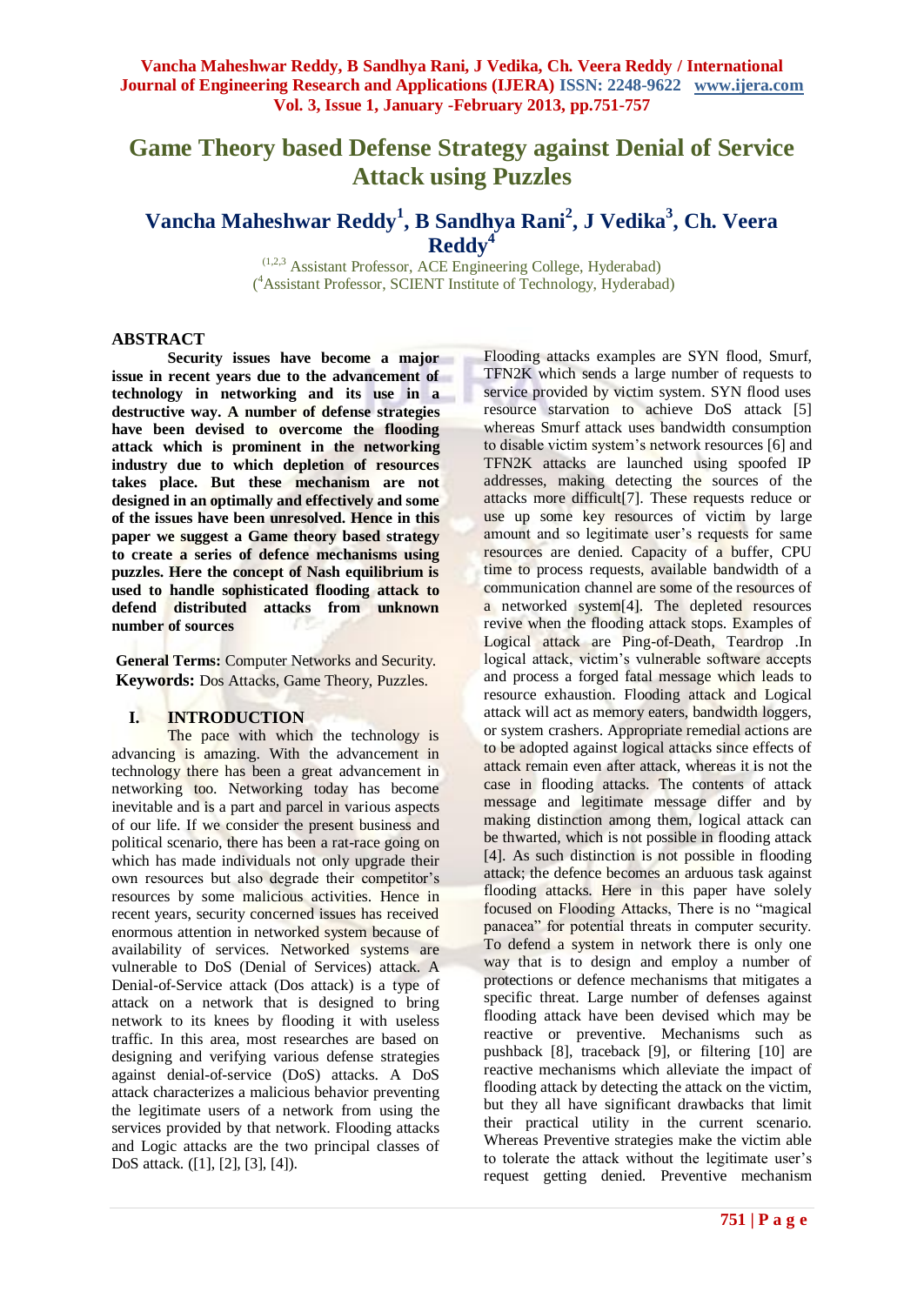# **Game Theory based Defense Strategy against Denial of Service Attack using Puzzles**

# **Vancha Maheshwar Reddy<sup>1</sup> , B Sandhya Rani<sup>2</sup> , J Vedika<sup>3</sup> , Ch. Veera Reddy<sup>4</sup>**

(1,2,3 Assistant Professor, ACE Engineering College, Hyderabad) ( <sup>4</sup>Assistant Professor, SCIENT Institute of Technology, Hyderabad)

#### **ABSTRACT**

**Security issues have become a major issue in recent years due to the advancement of technology in networking and its use in a destructive way. A number of defense strategies have been devised to overcome the flooding attack which is prominent in the networking industry due to which depletion of resources takes place. But these mechanism are not designed in an optimally and effectively and some of the issues have been unresolved. Hence in this paper we suggest a Game theory based strategy to create a series of defence mechanisms using puzzles. Here the concept of Nash equilibrium is used to handle sophisticated flooding attack to defend distributed attacks from unknown number of sources**

**General Terms:** Computer Networks and Security. **Keywords:** Dos Attacks, Game Theory, Puzzles.

#### **I. INTRODUCTION**

The pace with which the technology is advancing is amazing. With the advancement in technology there has been a great advancement in networking too. Networking today has become inevitable and is a part and parcel in various aspects of our life. If we consider the present business and political scenario, there has been a rat-race going on which has made individuals not only upgrade their own resources but also degrade their competitor's resources by some malicious activities. Hence in recent years, security concerned issues has received enormous attention in networked system because of availability of services. Networked systems are vulnerable to DoS (Denial of Services) attack. A Denial-of-Service attack (Dos attack) is a type of attack on a network that is designed to bring network to its knees by flooding it with useless traffic. In this area, most researches are based on designing and verifying various defense strategies against denial-of-service (DoS) attacks. A DoS attack characterizes a malicious behavior preventing the legitimate users of a network from using the services provided by that network. Flooding attacks and Logic attacks are the two principal classes of DoS attack. ([1], [2], [3], [4]).

Flooding attacks examples are SYN flood, Smurf, TFN2K which sends a large number of requests to service provided by victim system. SYN flood uses resource starvation to achieve DoS attack [5] whereas Smurf attack uses bandwidth consumption to disable victim system's network resources [6] and TFN2K attacks are launched using spoofed IP addresses, making detecting the sources of the attacks more difficult[7]. These requests reduce or use up some key resources of victim by large amount and so legitimate user's requests for same resources are denied. Capacity of a buffer, CPU time to process requests, available bandwidth of a communication channel are some of the resources of a networked system[4]. The depleted resources revive when the flooding attack stops. Examples of Logical attack are Ping-of-Death, Teardrop .In logical attack, victim's vulnerable software accepts and process a forged fatal message which leads to resource exhaustion. Flooding attack and Logical attack will act as memory eaters, bandwidth loggers, or system crashers. Appropriate remedial actions are to be adopted against logical attacks since effects of attack remain even after attack, whereas it is not the case in flooding attacks. The contents of attack message and legitimate message differ and by making distinction among them, logical attack can be thwarted, which is not possible in flooding attack [4]. As such distinction is not possible in flooding attack; the defence becomes an arduous task against flooding attacks. Here in this paper have solely focused on Flooding Attacks, There is no "magical panacea" for potential threats in computer security. To defend a system in network there is only one way that is to design and employ a number of protections or defence mechanisms that mitigates a specific threat. Large number of defenses against flooding attack have been devised which may be reactive or preventive. Mechanisms such as pushback [8], traceback [9], or filtering [10] are reactive mechanisms which alleviate the impact of flooding attack by detecting the attack on the victim, but they all have significant drawbacks that limit their practical utility in the current scenario. Whereas Preventive strategies make the victim able to tolerate the attack without the legitimate user's request getting denied. Preventive mechanism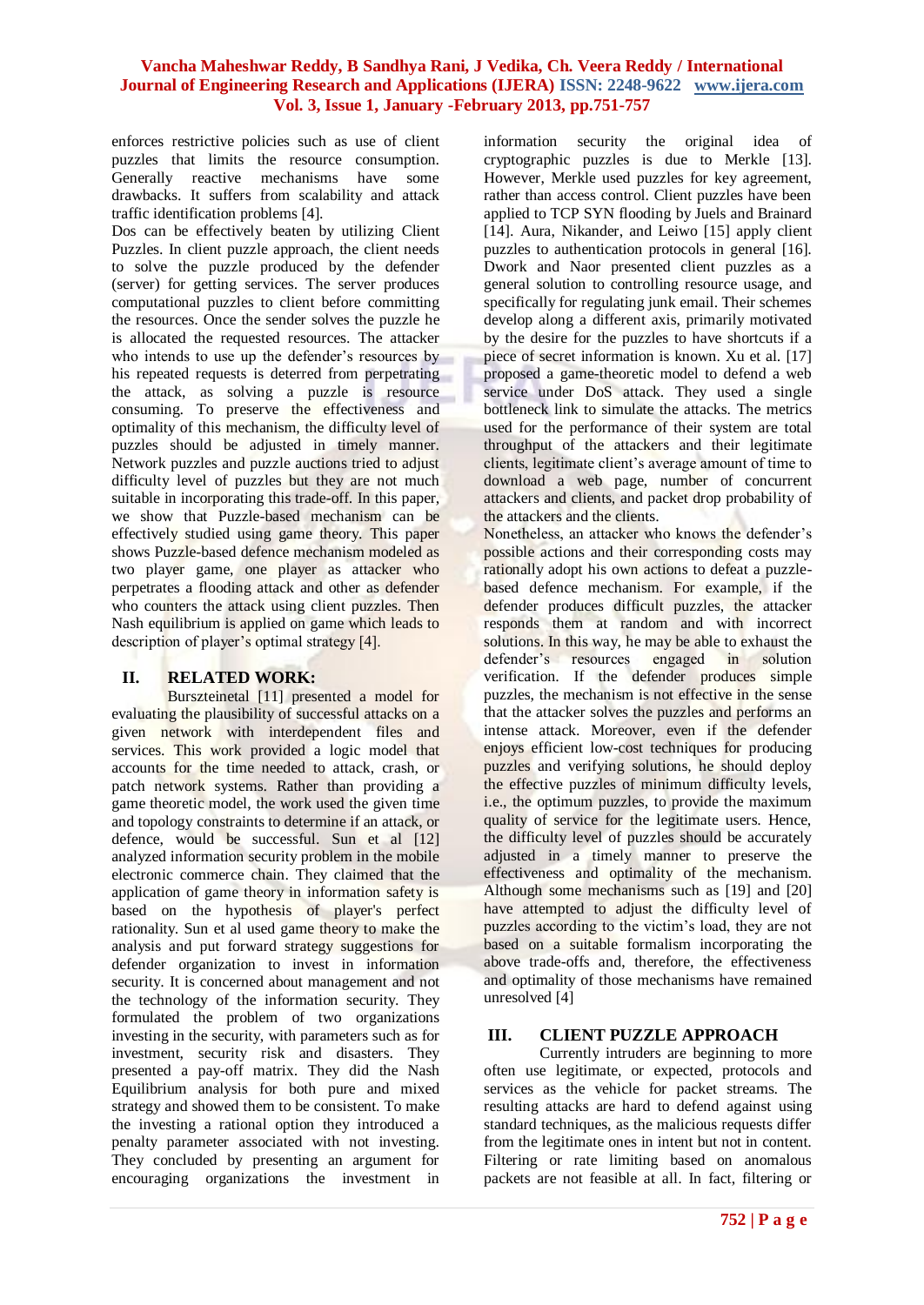enforces restrictive policies such as use of client puzzles that limits the resource consumption. Generally reactive mechanisms have some drawbacks. It suffers from scalability and attack traffic identification problems [4].

Dos can be effectively beaten by utilizing Client Puzzles. In client puzzle approach, the client needs to solve the puzzle produced by the defender (server) for getting services. The server produces computational puzzles to client before committing the resources. Once the sender solves the puzzle he is allocated the requested resources. The attacker who intends to use up the defender's resources by his repeated requests is deterred from perpetrating the attack, as solving a puzzle is resource consuming. To preserve the effectiveness and optimality of this mechanism, the difficulty level of puzzles should be adjusted in timely manner. Network puzzles and puzzle auctions tried to adjust difficulty level of puzzles but they are not much suitable in incorporating this trade-off. In this paper, we show that Puzzle-based mechanism can be effectively studied using game theory. This paper shows Puzzle-based defence mechanism modeled as two player game, one player as attacker who perpetrates a flooding attack and other as defender who counters the attack using client puzzles. Then Nash equilibrium is applied on game which leads to description of player's optimal strategy [4].

# **II. RELATED WORK:**

Burszteinetal [11] presented a model for evaluating the plausibility of successful attacks on a given network with interdependent files and services. This work provided a logic model that accounts for the time needed to attack, crash, or patch network systems. Rather than providing a game theoretic model, the work used the given time and topology constraints to determine if an attack, or defence, would be successful. Sun et al [12] analyzed information security problem in the mobile electronic commerce chain. They claimed that the application of game theory in information safety is based on the hypothesis of player's perfect rationality. Sun et al used game theory to make the analysis and put forward strategy suggestions for defender organization to invest in information security. It is concerned about management and not the technology of the information security. They formulated the problem of two organizations investing in the security, with parameters such as for investment, security risk and disasters. They presented a pay-off matrix. They did the Nash Equilibrium analysis for both pure and mixed strategy and showed them to be consistent. To make the investing a rational option they introduced a penalty parameter associated with not investing. They concluded by presenting an argument for encouraging organizations the investment in

information security the original idea of cryptographic puzzles is due to Merkle [13]. However, Merkle used puzzles for key agreement, rather than access control. Client puzzles have been applied to TCP SYN flooding by Juels and Brainard [14]. Aura, Nikander, and Leiwo [15] apply client puzzles to authentication protocols in general [16]. Dwork and Naor presented client puzzles as a general solution to controlling resource usage, and specifically for regulating junk email. Their schemes develop along a different axis, primarily motivated by the desire for the puzzles to have shortcuts if a piece of secret information is known. Xu et al. [17] proposed a game-theoretic model to defend a web service under DoS attack. They used a single bottleneck link to simulate the attacks. The metrics used for the performance of their system are total throughput of the attackers and their legitimate clients, legitimate client's average amount of time to download a web page, number of concurrent attackers and clients, and packet drop probability of the attackers and the clients.

Nonetheless, an attacker who knows the defender's possible actions and their corresponding costs may rationally adopt his own actions to defeat a puzzlebased defence mechanism. For example, if the defender produces difficult puzzles, the attacker responds them at random and with incorrect solutions. In this way, he may be able to exhaust the defender's resources engaged in solution verification. If the defender produces simple puzzles, the mechanism is not effective in the sense that the attacker solves the puzzles and performs an intense attack. Moreover, even if the defender enjoys efficient low-cost techniques for producing puzzles and verifying solutions, he should deploy the effective puzzles of minimum difficulty levels, i.e., the optimum puzzles, to provide the maximum quality of service for the legitimate users. Hence, the difficulty level of puzzles should be accurately adjusted in a timely manner to preserve the effectiveness and optimality of the mechanism. Although some mechanisms such as [19] and [20] have attempted to adjust the difficulty level of puzzles according to the victim's load, they are not based on a suitable formalism incorporating the above trade-offs and, therefore, the effectiveness and optimality of those mechanisms have remained unresolved [4]

# **III. CLIENT PUZZLE APPROACH**

Currently intruders are beginning to more often use legitimate, or expected, protocols and services as the vehicle for packet streams. The resulting attacks are hard to defend against using standard techniques, as the malicious requests differ from the legitimate ones in intent but not in content. Filtering or rate limiting based on anomalous packets are not feasible at all. In fact, filtering or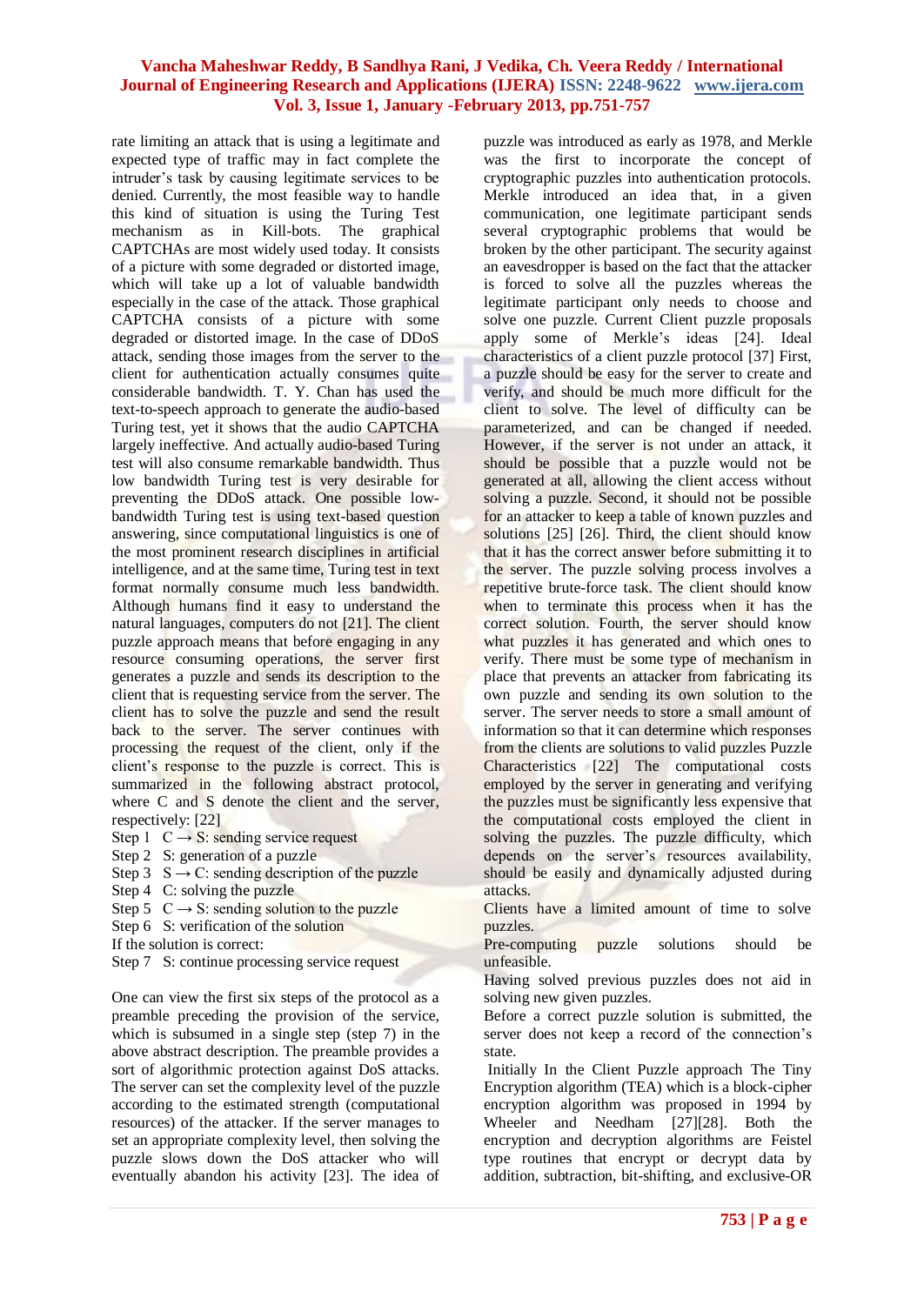rate limiting an attack that is using a legitimate and expected type of traffic may in fact complete the intruder's task by causing legitimate services to be denied. Currently, the most feasible way to handle this kind of situation is using the Turing Test mechanism as in Kill-bots. The graphical CAPTCHAs are most widely used today. It consists of a picture with some degraded or distorted image, which will take up a lot of valuable bandwidth especially in the case of the attack. Those graphical CAPTCHA consists of a picture with some degraded or distorted image. In the case of DDoS attack, sending those images from the server to the client for authentication actually consumes quite considerable bandwidth. T. Y. Chan has used the text-to-speech approach to generate the audio-based Turing test, yet it shows that the audio CAPTCHA largely ineffective. And actually audio-based Turing test will also consume remarkable bandwidth. Thus low bandwidth Turing test is very desirable for preventing the DDoS attack. One possible lowbandwidth Turing test is using text-based question answering, since computational linguistics is one of the most prominent research disciplines in artificial intelligence, and at the same time, Turing test in text format normally consume much less bandwidth. Although humans find it easy to understand the natural languages, computers do not [21]. The client puzzle approach means that before engaging in any resource consuming operations, the server first generates a puzzle and sends its description to the client that is requesting service from the server. The client has to solve the puzzle and send the result back to the server. The server continues with processing the request of the client, only if the client's response to the puzzle is correct. This is summarized in the following abstract protocol, where C and S denote the client and the server, respectively: [22]

- Step 1  $C \rightarrow S$ : sending service request
- Step 2 S: generation of a puzzle
- Step 3  $S \rightarrow C$ : sending description of the puzzle
- Step 4 C: solving the puzzle
- Step 5  $C \rightarrow S$ : sending solution to the puzzle
- Step 6 S: verification of the solution
- If the solution is correct:
- Step 7 S: continue processing service request

One can view the first six steps of the protocol as a preamble preceding the provision of the service, which is subsumed in a single step (step 7) in the above abstract description. The preamble provides a sort of algorithmic protection against DoS attacks. The server can set the complexity level of the puzzle according to the estimated strength (computational resources) of the attacker. If the server manages to set an appropriate complexity level, then solving the puzzle slows down the DoS attacker who will eventually abandon his activity [23]. The idea of puzzle was introduced as early as 1978, and Merkle was the first to incorporate the concept of cryptographic puzzles into authentication protocols. Merkle introduced an idea that, in a given communication, one legitimate participant sends several cryptographic problems that would be broken by the other participant. The security against an eavesdropper is based on the fact that the attacker is forced to solve all the puzzles whereas the legitimate participant only needs to choose and solve one puzzle. Current Client puzzle proposals apply some of Merkle's ideas [24]. Ideal characteristics of a client puzzle protocol [37] First, a puzzle should be easy for the server to create and verify, and should be much more difficult for the client to solve. The level of difficulty can be parameterized, and can be changed if needed. However, if the server is not under an attack, it should be possible that a puzzle would not be generated at all, allowing the client access without solving a puzzle. Second, it should not be possible for an attacker to keep a table of known puzzles and solutions [25] [26]. Third, the client should know that it has the correct answer before submitting it to the server. The puzzle solving process involves a repetitive brute-force task. The client should know when to terminate this process when it has the correct solution. Fourth, the server should know what puzzles it has generated and which ones to verify. There must be some type of mechanism in place that prevents an attacker from fabricating its own puzzle and sending its own solution to the server. The server needs to store a small amount of information so that it can determine which responses from the clients are solutions to valid puzzles Puzzle Characteristics [22] The computational costs employed by the server in generating and verifying the puzzles must be significantly less expensive that the computational costs employed the client in solving the puzzles. The puzzle difficulty, which depends on the server's resources availability, should be easily and dynamically adjusted during attacks.

- Clients have a limited amount of time to solve puzzles.
- Pre-computing puzzle solutions should be unfeasible.
- Having solved previous puzzles does not aid in solving new given puzzles.
- Before a correct puzzle solution is submitted, the server does not keep a record of the connection's state.
- Initially In the Client Puzzle approach The Tiny Encryption algorithm (TEA) which is a block-cipher encryption algorithm was proposed in 1994 by Wheeler and Needham [27][28]. Both the encryption and decryption algorithms are Feistel type routines that encrypt or decrypt data by addition, subtraction, bit-shifting, and exclusive-OR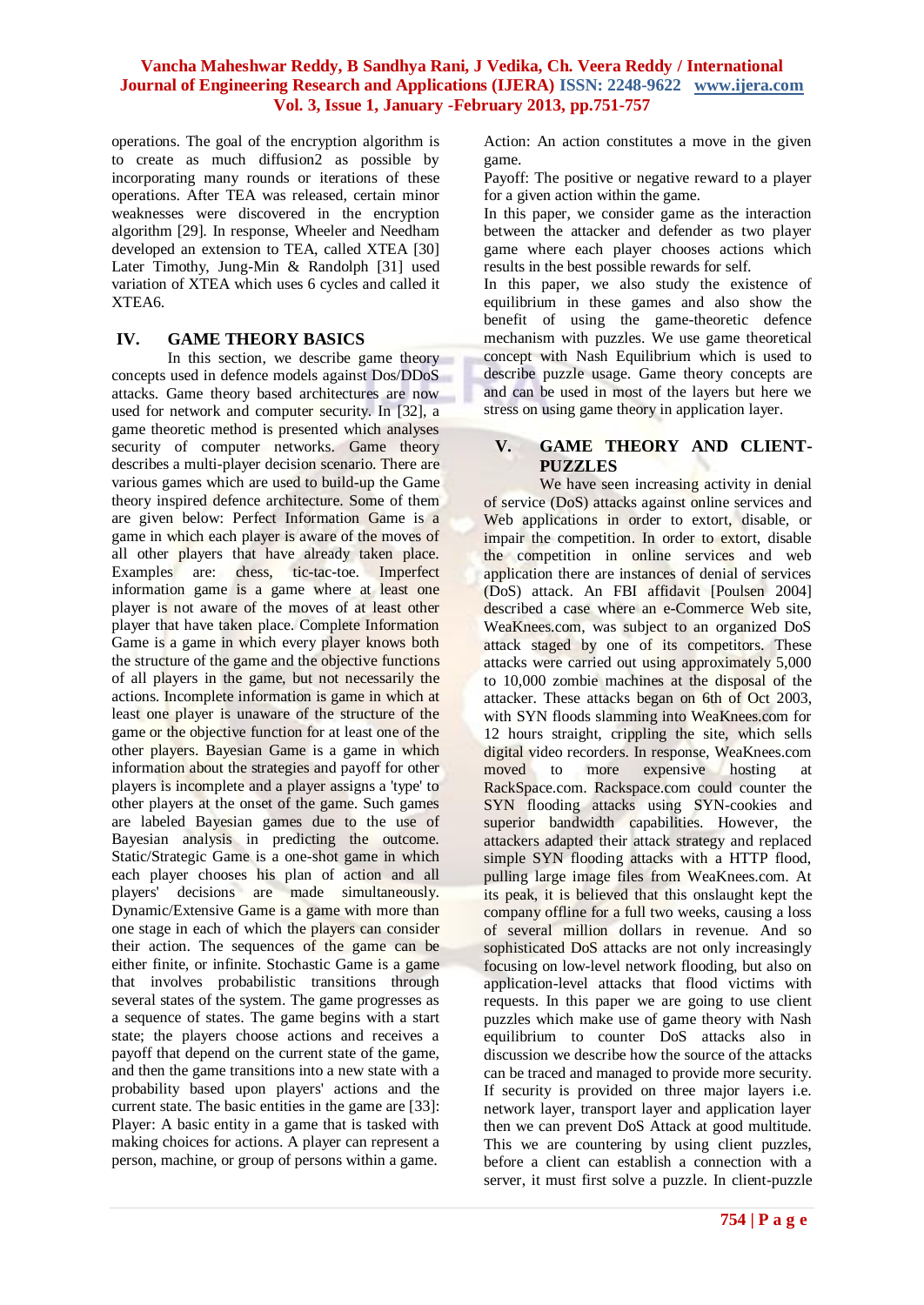operations. The goal of the encryption algorithm is to create as much diffusion2 as possible by incorporating many rounds or iterations of these operations. After TEA was released, certain minor weaknesses were discovered in the encryption algorithm [29]. In response, Wheeler and Needham developed an extension to TEA, called XTEA [30] Later Timothy, Jung-Min & Randolph [31] used variation of XTEA which uses 6 cycles and called it XTEA6.

#### **IV. GAME THEORY BASICS**

In this section, we describe game theory concepts used in defence models against Dos/DDoS attacks. Game theory based architectures are now used for network and computer security. In [32], a game theoretic method is presented which analyses security of computer networks. Game theory describes a multi-player decision scenario. There are various games which are used to build-up the Game theory inspired defence architecture. Some of them are given below: Perfect Information Game is a game in which each player is aware of the moves of all other players that have already taken place. Examples are: chess, tic-tac-toe. Imperfect information game is a game where at least one player is not aware of the moves of at least other player that have taken place. Complete Information Game is a game in which every player knows both the structure of the game and the objective functions of all players in the game, but not necessarily the actions. Incomplete information is game in which at least one player is unaware of the structure of the game or the objective function for at least one of the other players. Bayesian Game is a game in which information about the strategies and payoff for other players is incomplete and a player assigns a 'type' to other players at the onset of the game. Such games are labeled Bayesian games due to the use of Bayesian analysis in predicting the outcome. Static/Strategic Game is a one-shot game in which each player chooses his plan of action and all players' decisions are made simultaneously. Dynamic/Extensive Game is a game with more than one stage in each of which the players can consider their action. The sequences of the game can be either finite, or infinite. Stochastic Game is a game that involves probabilistic transitions through several states of the system. The game progresses as a sequence of states. The game begins with a start state; the players choose actions and receives a payoff that depend on the current state of the game, and then the game transitions into a new state with a probability based upon players' actions and the current state. The basic entities in the game are [33]: Player: A basic entity in a game that is tasked with making choices for actions. A player can represent a person, machine, or group of persons within a game.

Action: An action constitutes a move in the given game.

Payoff: The positive or negative reward to a player for a given action within the game.

In this paper, we consider game as the interaction between the attacker and defender as two player game where each player chooses actions which results in the best possible rewards for self.

In this paper, we also study the existence of equilibrium in these games and also show the benefit of using the game-theoretic defence mechanism with puzzles. We use game theoretical concept with Nash Equilibrium which is used to describe puzzle usage. Game theory concepts are and can be used in most of the layers but here we stress on using game theory in application layer.

### **V. GAME THEORY AND CLIENT-PUZZLES**

We have seen increasing activity in denial of service (DoS) attacks against online services and Web applications in order to extort, disable, or impair the competition. In order to extort, disable the competition in online services and web application there are instances of denial of services (DoS) attack. An FBI affidavit [Poulsen 2004] described a case where an e-Commerce Web site, WeaKnees.com, was subject to an organized DoS attack staged by one of its competitors. These attacks were carried out using approximately 5,000 to 10,000 zombie machines at the disposal of the attacker. These attacks began on 6th of Oct 2003, with SYN floods slamming into WeaKnees.com for 12 hours straight, crippling the site, which sells digital video recorders. In response, WeaKnees.com moved to more expensive hosting at RackSpace.com. Rackspace.com could counter the SYN flooding attacks using SYN-cookies and superior bandwidth capabilities. However, the attackers adapted their attack strategy and replaced simple SYN flooding attacks with a HTTP flood, pulling large image files from WeaKnees.com. At its peak, it is believed that this onslaught kept the company offline for a full two weeks, causing a loss of several million dollars in revenue. And so sophisticated DoS attacks are not only increasingly focusing on low-level network flooding, but also on application-level attacks that flood victims with requests. In this paper we are going to use client puzzles which make use of game theory with Nash equilibrium to counter DoS attacks also in discussion we describe how the source of the attacks can be traced and managed to provide more security. If security is provided on three major layers i.e. network layer, transport layer and application layer then we can prevent DoS Attack at good multitude. This we are countering by using client puzzles, before a client can establish a connection with a server, it must first solve a puzzle. In client-puzzle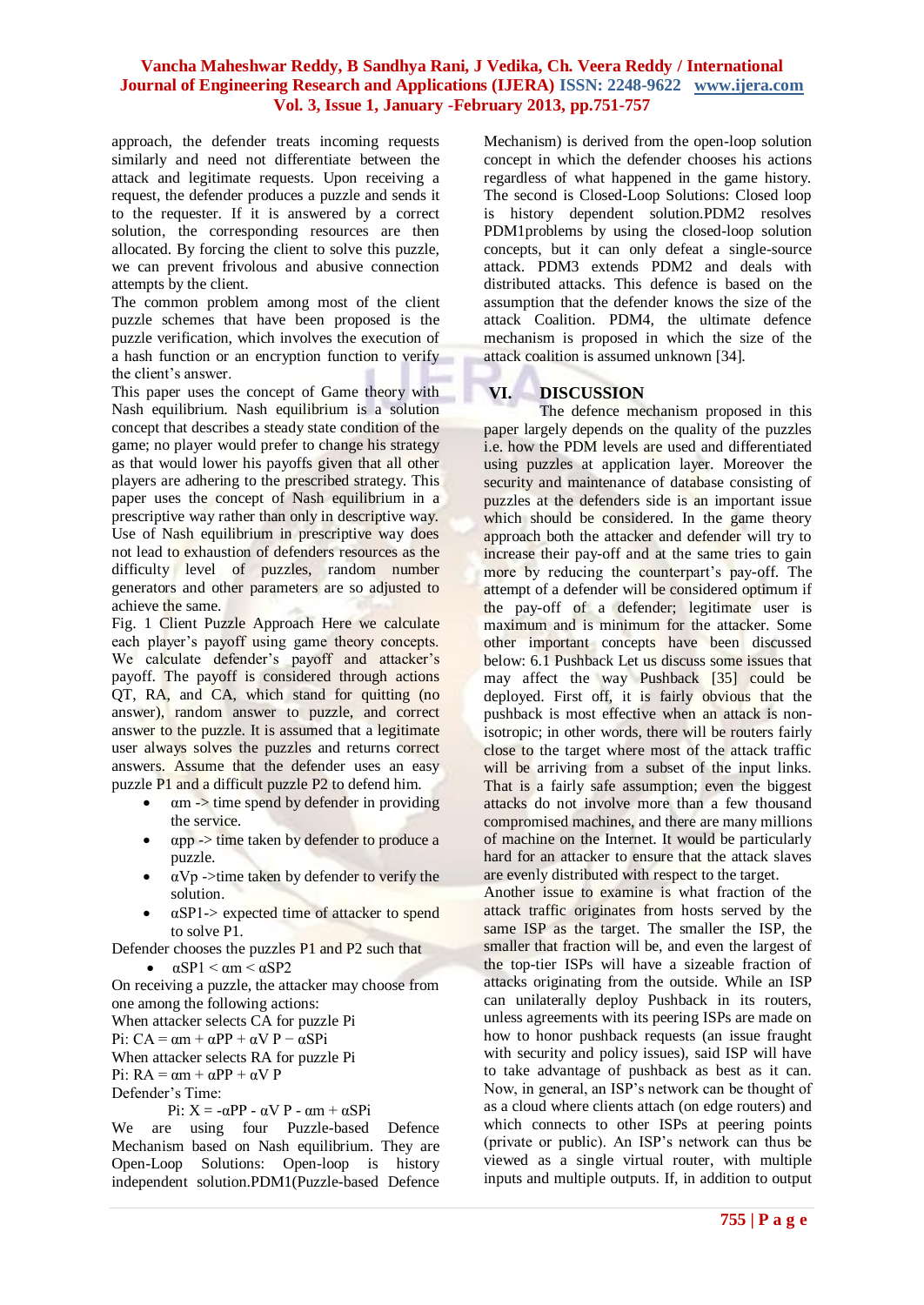approach, the defender treats incoming requests similarly and need not differentiate between the attack and legitimate requests. Upon receiving a request, the defender produces a puzzle and sends it to the requester. If it is answered by a correct solution, the corresponding resources are then allocated. By forcing the client to solve this puzzle, we can prevent frivolous and abusive connection attempts by the client.

The common problem among most of the client puzzle schemes that have been proposed is the puzzle verification, which involves the execution of a hash function or an encryption function to verify the client's answer.

This paper uses the concept of Game theory with Nash equilibrium. Nash equilibrium is a solution concept that describes a steady state condition of the game; no player would prefer to change his strategy as that would lower his payoffs given that all other players are adhering to the prescribed strategy. This paper uses the concept of Nash equilibrium in a prescriptive way rather than only in descriptive way. Use of Nash equilibrium in prescriptive way does not lead to exhaustion of defenders resources as the difficulty level of puzzles, random number generators and other parameters are so adjusted to achieve the same.

Fig. 1 Client Puzzle Approach Here we calculate each player's payoff using game theory concepts. We calculate defender's payoff and attacker's payoff. The payoff is considered through actions QT, RA, and CA, which stand for quitting (no answer), random answer to puzzle, and correct answer to the puzzle. It is assumed that a legitimate user always solves the puzzles and returns correct answers. Assume that the defender uses an easy puzzle P1 and a difficult puzzle P2 to defend him.

- $\alpha$ m -> time spend by defender in providing the service.
- αpp -> time taken by defender to produce a puzzle.
- $\bullet$   $\alpha Vp \rightarrow$ time taken by defender to verify the solution.
- $\alpha$ SP1-> expected time of attacker to spend to solve P1.

Defender chooses the puzzles P1 and P2 such that

 $\bullet$   $\alpha$ SP1 <  $\alpha$ m <  $\alpha$ SP2

On receiving a puzzle, the attacker may choose from one among the following actions: When attacker selects CA for puzzle Pi Pi:  $CA = \alpha m + \alpha PP + \alpha VP - \alpha SPi$ 

When attacker selects RA for puzzle Pi

Pi:  $RA = \alpha m + \alpha PP + \alpha VP$ 

Defender's Time:

Pi:  $X = -αPP - αV P - αm + αSPi$ 

We are using four Puzzle-based Defence Mechanism based on Nash equilibrium. They are Open-Loop Solutions: Open-loop is history independent solution.PDM1(Puzzle-based Defence Mechanism) is derived from the open-loop solution concept in which the defender chooses his actions regardless of what happened in the game history. The second is Closed-Loop Solutions: Closed loop is history dependent solution.PDM2 resolves PDM1problems by using the closed-loop solution concepts, but it can only defeat a single-source attack. PDM3 extends PDM2 and deals with distributed attacks. This defence is based on the assumption that the defender knows the size of the attack Coalition. PDM4, the ultimate defence mechanism is proposed in which the size of the attack coalition is assumed unknown [34].

# **VI. DISCUSSION**

The defence mechanism proposed in this paper largely depends on the quality of the puzzles i.e. how the PDM levels are used and differentiated using puzzles at application layer. Moreover the security and maintenance of database consisting of puzzles at the defenders side is an important issue which should be considered. In the game theory approach both the attacker and defender will try to increase their pay-off and at the same tries to gain more by reducing the counterpart's pay-off. The attempt of a defender will be considered optimum if the pay-off of a defender; legitimate user is maximum and is minimum for the attacker. Some other important concepts have been discussed below: 6.1 Pushback Let us discuss some issues that may affect the way Pushback [35] could be deployed. First off, it is fairly obvious that the pushback is most effective when an attack is nonisotropic; in other words, there will be routers fairly close to the target where most of the attack traffic will be arriving from a subset of the input links. That is a fairly safe assumption; even the biggest attacks do not involve more than a few thousand compromised machines, and there are many millions of machine on the Internet. It would be particularly hard for an attacker to ensure that the attack slaves are evenly distributed with respect to the target.

Another issue to examine is what fraction of the attack traffic originates from hosts served by the same ISP as the target. The smaller the ISP, the smaller that fraction will be, and even the largest of the top-tier ISPs will have a sizeable fraction of attacks originating from the outside. While an ISP can unilaterally deploy Pushback in its routers, unless agreements with its peering ISPs are made on how to honor pushback requests (an issue fraught with security and policy issues), said ISP will have to take advantage of pushback as best as it can. Now, in general, an ISP's network can be thought of as a cloud where clients attach (on edge routers) and which connects to other ISPs at peering points (private or public). An ISP's network can thus be viewed as a single virtual router, with multiple inputs and multiple outputs. If, in addition to output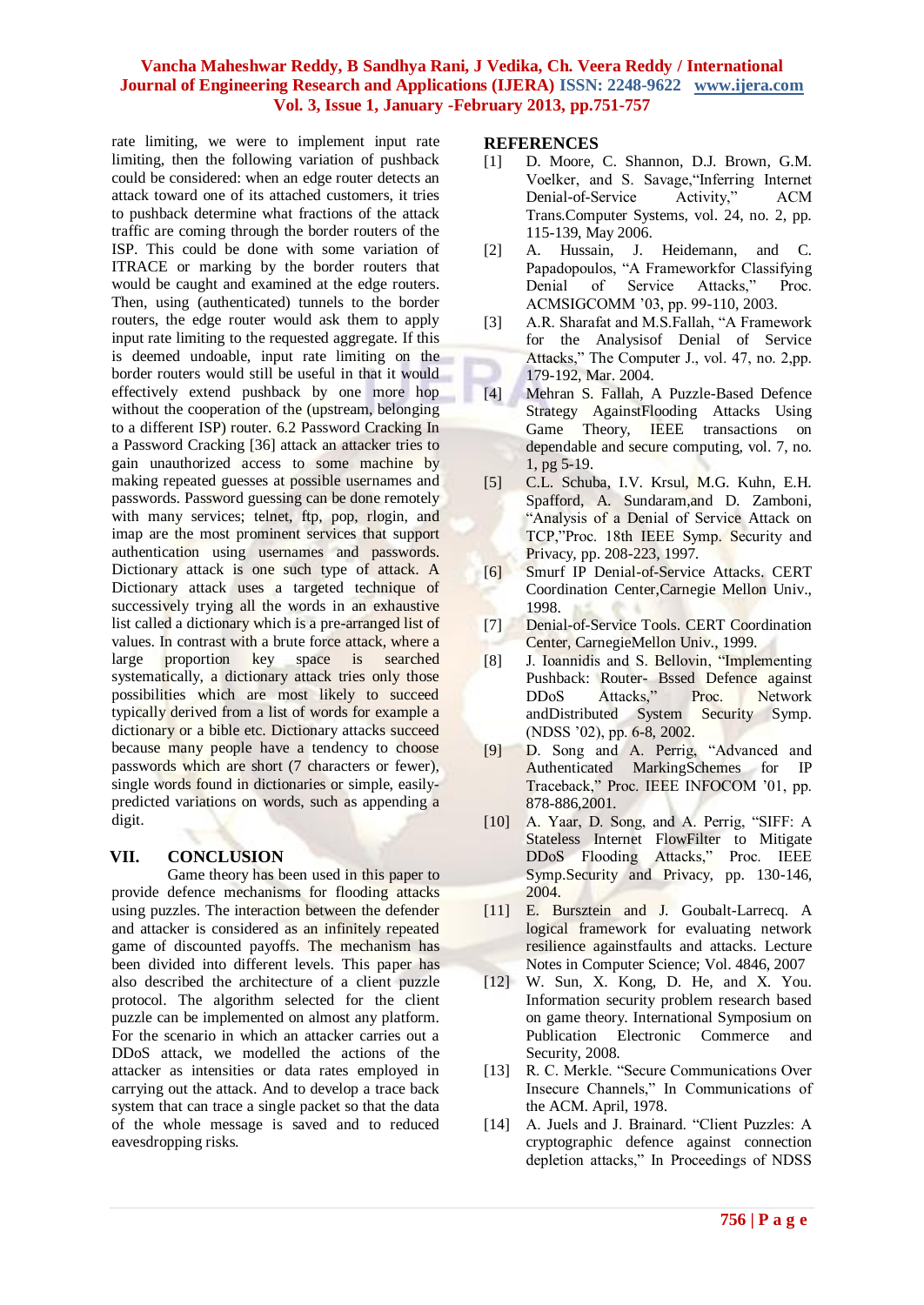rate limiting, we were to implement input rate limiting, then the following variation of pushback could be considered: when an edge router detects an attack toward one of its attached customers, it tries to pushback determine what fractions of the attack traffic are coming through the border routers of the ISP. This could be done with some variation of ITRACE or marking by the border routers that would be caught and examined at the edge routers. Then, using (authenticated) tunnels to the border routers, the edge router would ask them to apply input rate limiting to the requested aggregate. If this is deemed undoable, input rate limiting on the border routers would still be useful in that it would effectively extend pushback by one more hop without the cooperation of the (upstream, belonging to a different ISP) router. 6.2 Password Cracking In a Password Cracking [36] attack an attacker tries to gain unauthorized access to some machine by making repeated guesses at possible usernames and passwords. Password guessing can be done remotely with many services; telnet, ftp, pop, rlogin, and imap are the most prominent services that support authentication using usernames and passwords. Dictionary attack is one such type of attack. A Dictionary attack uses a targeted technique of successively trying all the words in an exhaustive list called a dictionary which is a pre-arranged list of values. In contrast with a brute force attack, where a large proportion key space is searched systematically, a dictionary attack tries only those possibilities which are most likely to succeed typically derived from a list of words for example a dictionary or a bible etc. Dictionary attacks succeed because many people have a tendency to choose passwords which are short (7 characters or fewer), single words found in dictionaries or simple, easilypredicted variations on words, such as appending a digit.

#### **VII. CONCLUSION**

Game theory has been used in this paper to provide defence mechanisms for flooding attacks using puzzles. The interaction between the defender and attacker is considered as an infinitely repeated game of discounted payoffs. The mechanism has been divided into different levels. This paper has also described the architecture of a client puzzle protocol. The algorithm selected for the client puzzle can be implemented on almost any platform. For the scenario in which an attacker carries out a DDoS attack, we modelled the actions of the attacker as intensities or data rates employed in carrying out the attack. And to develop a trace back system that can trace a single packet so that the data of the whole message is saved and to reduced eavesdropping risks.

#### **REFERENCES**

- [1] D. Moore, C. Shannon, D.J. Brown, G.M. Voelker, and S. Savage,"Inferring Internet Denial-of-Service Activity," ACM Trans.Computer Systems, vol. 24, no. 2, pp. 115-139, May 2006.
- [2] A. Hussain, J. Heidemann, and C. Papadopoulos, "A Frameworkfor Classifying Denial of Service Attacks," Proc. ACMSIGCOMM '03, pp. 99-110, 2003.
- [3] A.R. Sharafat and M.S.Fallah, "A Framework for the Analysisof Denial of Service Attacks," The Computer J., vol. 47, no. 2,pp. 179-192, Mar. 2004.
- [4] Mehran S. Fallah, A Puzzle-Based Defence Strategy AgainstFlooding Attacks Using Game Theory, IEEE transactions on dependable and secure computing, vol. 7, no. 1, pg 5-19.
- [5] C.L. Schuba, I.V. Krsul, M.G. Kuhn, E.H. Spafford, A. Sundaram, and D. Zamboni, "Analysis of a Denial of Service Attack on TCP,"Proc. 18th IEEE Symp. Security and Privacy, pp. 208-223, 1997.
- [6] Smurf IP Denial-of-Service Attacks. CERT Coordination Center,Carnegie Mellon Univ., 1998.
- [7] Denial-of-Service Tools. CERT Coordination Center, CarnegieMellon Univ., 1999.
- [8] J. Ioannidis and S. Bellovin, "Implementing Pushback: Router- Bssed Defence against DDoS Attacks," Proc. Network andDistributed System Security Symp. (NDSS '02), pp. 6-8, 2002.
- [9] D. Song and A. Perrig, "Advanced and Authenticated MarkingSchemes for IP Traceback," Proc. IEEE INFOCOM '01, pp. 878-886,2001.
- [10] A. Yaar, D. Song, and A. Perrig, "SIFF: A Stateless Internet FlowFilter to Mitigate DDoS Flooding Attacks," Proc. IEEE Symp.Security and Privacy, pp. 130-146, 2004.
- [11] E. Bursztein and J. Goubalt-Larrecq. A logical framework for evaluating network resilience againstfaults and attacks. Lecture Notes in Computer Science; Vol. 4846, 2007
- [12] W. Sun, X. Kong, D. He, and X. You. Information security problem research based on game theory. International Symposium on Publication Electronic Commerce and Security, 2008.
- [13] R. C. Merkle. "Secure Communications Over Insecure Channels," In Communications of the ACM. April, 1978.
- [14] A. Juels and J. Brainard. "Client Puzzles: A cryptographic defence against connection depletion attacks," In Proceedings of NDSS